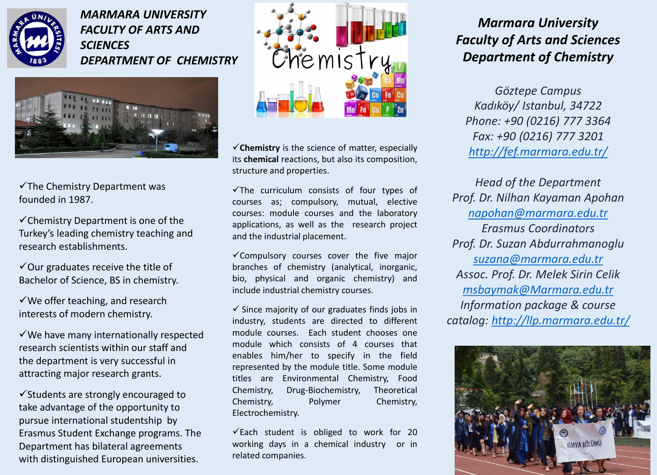

*MARMARA UNIVERSITY FACULTY OF ARTS AND SCIENCES DEPARTMENT OF CHEMISTRY*



 $\checkmark$ The Chemistry Department was founded in 1987.

 $\checkmark$  Chemistry Department is one of the Turkey's leading chemistry teaching and research establishments.

 $\checkmark$  Our graduates receive the title of Bachelor of Science, BS in chemistry.

 $\checkmark$  We offer teaching, and research interests of modern chemistry.

 $\checkmark$  We have many internationally respected research scientists within our staff and the department is very successful in attracting major research grants.

 $\checkmark$  Students are strongly encouraged to take advantage of the opportunity to pursue international studentship by Erasmus Student Exchange programs. The Department has bilateral agreements with distinguished European universities.



**Chemistry** is the science of matter, especially its **chemical** reactions, but also its composition, structure and properties.

 $\checkmark$ The curriculum consists of four types of courses as; compulsory, mutual, elective courses: module courses and the laboratory applications, as well as the research project and the industrial placement.

 $\checkmark$  Compulsory courses cover the five major branches of chemistry (analytical, inorganic, bio, physical and organic chemistry) and include industrial chemistry courses.

 $\checkmark$  Since majority of our graduates finds jobs in industry, students are directed to different module courses. Each student chooses one module which consists of 4 courses that enables him/her to specify in the field represented by the module title. Some module titles are Environmental Chemistry, Food Chemistry, Drug-Biochemistry, Theoretical Chemistry, Polymer Chemistry, Electrochemistry.

 $\checkmark$  Each student is obliged to work for 20 working days in a chemical industry or in related companies.

## *Marmara University Faculty of Arts and Sciences Department of Chemistry*

*Göztepe Campus Kadıköy/ Istanbul, 34722 Phone: +90 (0216) 777 3364 Fax: +90 (0216) 777 3201 <http://fef.marmara.edu.tr/>*

*Head of the Department Prof. Dr. Nilhan Kayaman Apohan [napohan@marmara.edu.tr](mailto:napohan@marmara.edu.tr) Erasmus Coordinators Prof. Dr. Suzan Abdurrahmanoglu [suzana@marmara.edu.tr](mailto:suzana@marmara.edu.tr) Assoc. Prof. Dr. Melek Sirin Celik [msbaymak@Marmara.edu.tr](mailto:msbaymak@Marmara.edu.tr) Information package & course catalog: <http://llp.marmara.edu.tr/>*